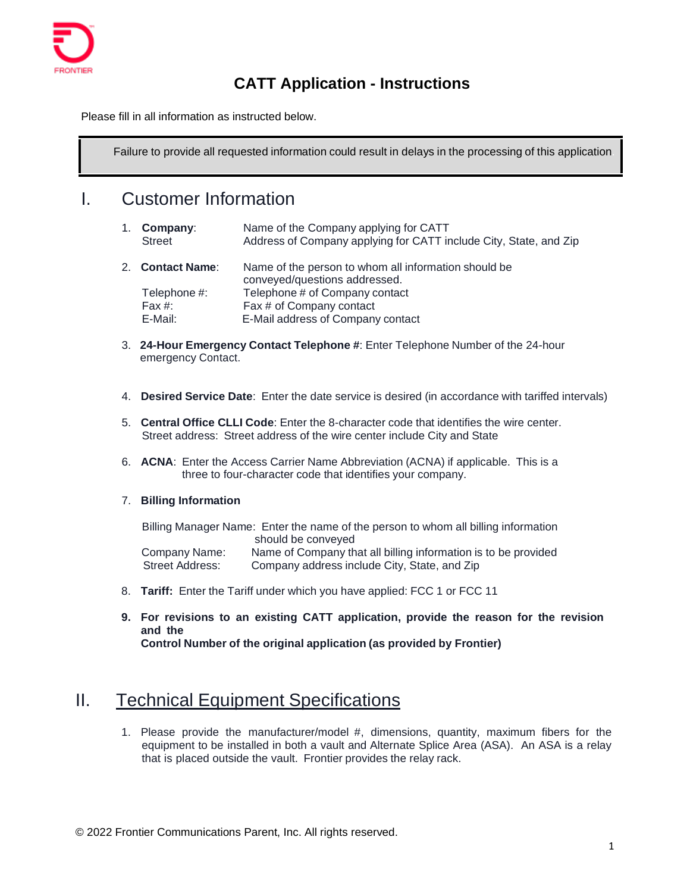

## **CATT Application - Instructions**

Please fill in all information as instructed below.

Failure to provide all requested information could result in delays in the processing of this application.

### I. Customer Information

| 1. Company: | Name of the Company applying for CATT                             |
|-------------|-------------------------------------------------------------------|
| Street      | Address of Company applying for CATT include City, State, and Zip |

- 2. **Contact Name**: Name of the person to whom all information should be conveyed/questions addressed. Telephone #: Telephone # of Company contact Fax #: Fax # of Company contact E-Mail: E-Mail address of Company contact
- 3. **24-Hour Emergency Contact Telephone #**: Enter Telephone Number of the 24-hour emergency Contact.
- 4. **Desired Service Date**: Enter the date service is desired (in accordance with tariffed intervals)
- 5. **Central Office CLLI Code**: Enter the 8-character code that identifies the wire center. Street address: Street address of the wire center include City and State
- 6. **ACNA**: Enter the Access Carrier Name Abbreviation (ACNA) if applicable. This is a three to four-character code that identifies your company.

#### 7. **Billing Information**

Billing Manager Name: Enter the name of the person to whom all billing information should be conveyed Company Name: Name of Company that all billing information is to be provided<br>Street Address: Company address include City. State. and Zip Company address include City, State, and Zip

- 8. **Tariff:** Enter the Tariff under which you have applied: FCC 1 or FCC 11
- **9. For revisions to an existing CATT application, provide the reason for the revision and the Control Number of the original application (as provided by Frontier)**

### II. Technical Equipment Specifications

1. Please provide the manufacturer/model #, dimensions, quantity, maximum fibers for the equipment to be installed in both a vault and Alternate Splice Area (ASA). An ASA is a relay that is placed outside the vault. Frontier provides the relay rack.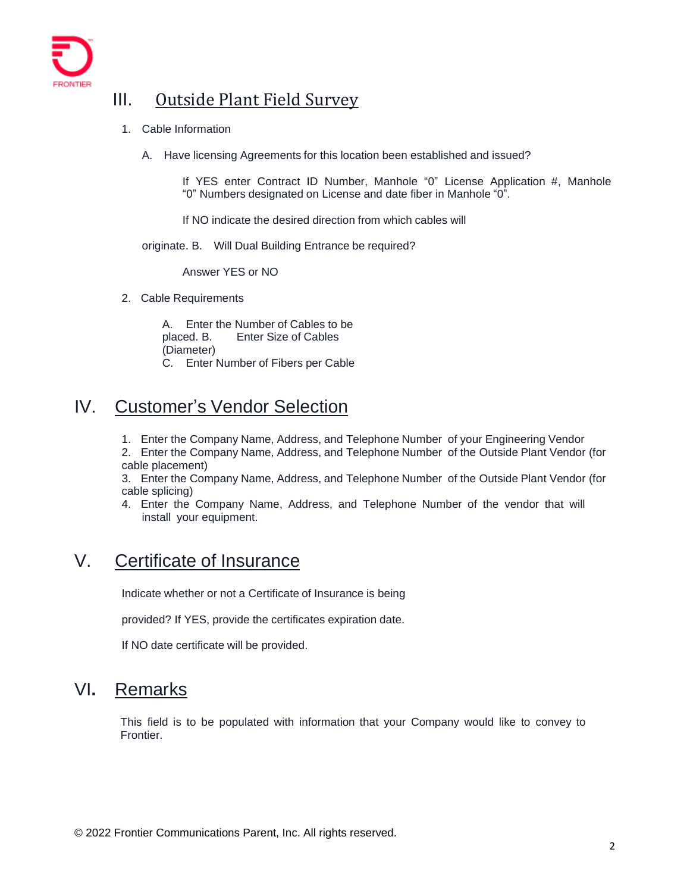

## III. Outside Plant Field Survey

- 1. Cable Information
	- A. Have licensing Agreements for this location been established and issued?

If YES enter Contract ID Number, Manhole "0" License Application #, Manhole "0" Numbers designated on License and date fiber in Manhole "0".

If NO indicate the desired direction from which cables will

originate. B. Will Dual Building Entrance be required?

Answer YES or NO

2. Cable Requirements

A. Enter the Number of Cables to be placed. B. Enter Size of Cables (Diameter) C. Enter Number of Fibers per Cable

# IV. Customer's Vendor Selection

1. Enter the Company Name, Address, and Telephone Number of your Engineering Vendor

2. Enter the Company Name, Address, and Telephone Number of the Outside Plant Vendor (for cable placement)

3. Enter the Company Name, Address, and Telephone Number of the Outside Plant Vendor (for cable splicing)

4. Enter the Company Name, Address, and Telephone Number of the vendor that will install your equipment.

### V. Certificate of Insurance

Indicate whether or not a Certificate of Insurance is being

provided? If YES, provide the certificates expiration date.

If NO date certificate will be provided.

# VI**.** Remarks

This field is to be populated with information that your Company would like to convey to Frontier.